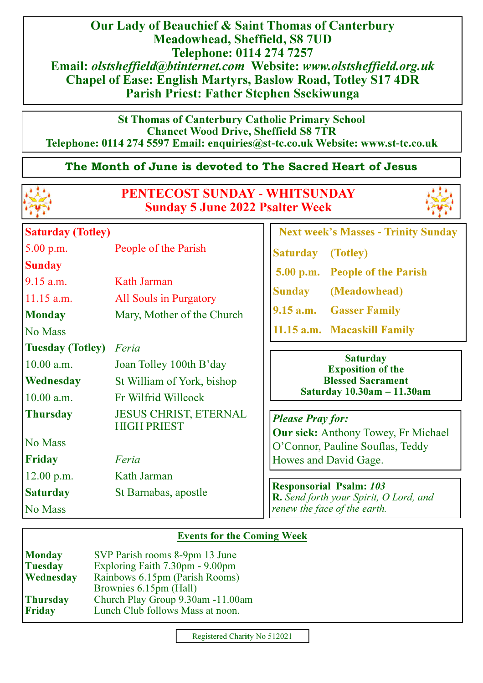Our Lady of Beauchief & Saint Thomas of Canterbury Meadowhead, Sheffield, S8 7UD Telephone: 0114 274 7257 Email: olstsheffield@btinternet.com Website: www.olstsheffield.org.uk Chapel of Ease: English Martyrs, Baslow Road, Totley S17 4DR Parish Priest: Father Stephen Ssekiwunga

St Thomas of Canterbury Catholic Primary School Chancet Wood Drive, Sheffield S8 7TR Telephone: 0114 274 5597 Email: enquiries@st**-**tc.co.uk Website: www.st**-**tc.co.uk

## The Month of June is devoted to The Sacred Heart of Jesus



# PENTECOST SUNDAY **-** WHITSUNDAY Sunday 5 June 2022 Psalter Week



| <b>Saturday (Totley)</b>                                                 |                                                                     | <b>Next week's Masses - Trinity Sunday</b>                                                                                |
|--------------------------------------------------------------------------|---------------------------------------------------------------------|---------------------------------------------------------------------------------------------------------------------------|
| $5.00$ p.m.                                                              | People of the Parish                                                | <b>Saturday</b><br>(Totley)                                                                                               |
| <b>Sunday</b><br>$9.15$ a.m.<br>$11.15$ a.m.<br><b>Monday</b><br>No Mass | Kath Jarman<br>All Souls in Purgatory<br>Mary, Mother of the Church | 5.00 p.m. People of the Parish<br><b>Sunday</b><br>(Meadowhead)<br>9.15 a.m. Gasser Family<br>11.15 a.m. Macaskill Family |
| <b>Tuesday (Totley)</b>                                                  | Feria                                                               |                                                                                                                           |
| 10.00 a.m.                                                               | Joan Tolley 100th B'day                                             | <b>Saturday</b><br><b>Exposition of the</b>                                                                               |
| Wednesday                                                                | St William of York, bishop                                          | <b>Blessed Sacrament</b>                                                                                                  |
| 10.00 a.m.                                                               | Fr Wilfrid Willcock                                                 | Saturday 10.30am - 11.30am                                                                                                |
| <b>Thursday</b>                                                          | <b>JESUS CHRIST, ETERNAL</b><br><b>HIGH PRIEST</b>                  | <b>Please Pray for:</b><br><b>Our sick:</b> Anthony Towey, Fr Michael                                                     |
| No Mass                                                                  |                                                                     | O'Connor, Pauline Souflas, Teddy                                                                                          |
| Friday                                                                   | Feria                                                               | Howes and David Gage.                                                                                                     |
| $12.00$ p.m.                                                             | Kath Jarman                                                         |                                                                                                                           |
| <b>Saturday</b><br>No Mass                                               | St Barnabas, apostle                                                | <b>Responsorial Psalm: 103</b><br><b>R.</b> Send forth your Spirit, O Lord, and<br>renew the face of the earth.           |

#### Events for the Coming Week

| <b>Monday</b>   | SVP Parish rooms 8-9pm 13 June    |  |
|-----------------|-----------------------------------|--|
| <b>Tuesday</b>  | Exploring Faith 7.30pm - 9.00pm   |  |
| Wednesday       | Rainbows 6.15pm (Parish Rooms)    |  |
|                 | Brownies 6.15pm (Hall)            |  |
| <b>Thursday</b> | Church Play Group 9.30am -11.00am |  |
| <b>Friday</b>   | Lunch Club follows Mass at noon.  |  |
|                 |                                   |  |

Registered Charity No 512021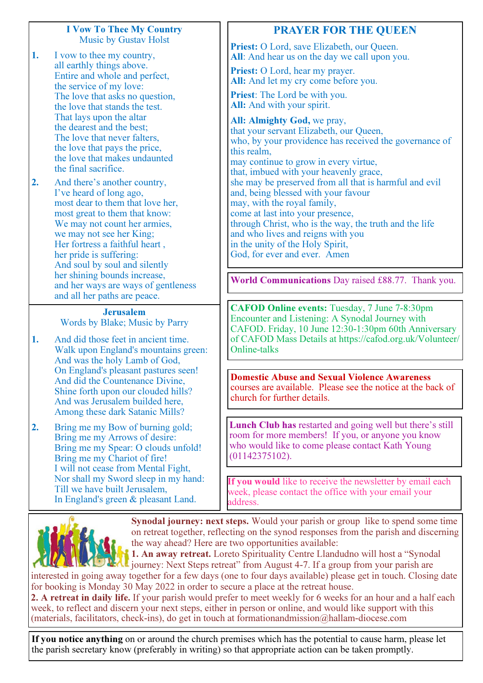#### I Vow To Thee My Country Music by Gustav Holst

- 1. I vow to thee my country, all earthly things above. Entire and whole and perfect, the service of my love: The love that asks no question, the love that stands the test. That lays upon the altar the dearest and the best; The love that never falters, the love that pays the price, the love that makes undaunted the final sacrifice.
- 2. And there's another country, I've heard of long ago, most dear to them that love her. most great to them that know: We may not count her armies, we may not see her King; Her fortress a faithful heart , her pride is suffering: And soul by soul and silently her shining bounds increase, and her ways are ways of gentleness and all her paths are peace.

Jerusalem Words by Blake; Music by Parry

- 1. And did those feet in ancient time. Walk upon England's mountains green: And was the holy Lamb of God, On England's pleasant pastures seen! And did the Countenance Divine, Shine forth upon our clouded hills? And was Jerusalem builded here, Among these dark Satanic Mills?
- 2. Bring me my Bow of burning gold; Bring me my Arrows of desire: Bring me my Spear: O clouds unfold! Bring me my Chariot of fire! I will not cease from Mental Fight, Nor shall my Sword sleep in my hand: Till we have built Jerusalem, In England's green & pleasant Land.

## PRAYER FOR THE QUEEN

Priest: O Lord, save Elizabeth, our Oueen. All: And hear us on the day we call upon you.

Priest: O Lord, hear my prayer. All: And let my cry come before you.

Priest: The Lord be with you. All: And with your spirit.

All: Almighty God, we pray, that your servant Elizabeth, our Queen, who, by your providence has received the governance of this realm, may continue to grow in every virtue, that, imbued with your heavenly grace, she may be preserved from all that is harmful and evil and, being blessed with your favour may, with the royal family, come at last into your presence, through Christ, who is the way, the truth and the life and who lives and reigns with you in the unity of the Holy Spirit, God, for ever and ever. Amen

World Communications Day raised £88.77. Thank you.

CAFOD Online events: Tuesday, 7 June 7-8:30pm Encounter and Listening: A Synodal Journey with CAFOD. Friday, 10 June 12:30-1:30pm 60th Anniversary of CAFOD Mass Details at https://cafod.org.uk/Volunteer/ Online-talks

Domestic Abuse and Sexual Violence Awareness courses are available. Please see the notice at the back of church for further details.

Lunch Club has restarted and going well but there's still room for more members! If you, or anyone you know who would like to come please contact Kath Young (01142375102).

If you would like to receive the newsletter by email each week, please contact the office with your email your address.



Synodal journey: next steps. Would your parish or group like to spend some time on retreat together, reflecting on the synod responses from the parish and discerning the way ahead? Here are two opportunities available:

1. An away retreat. Loreto Spirituality Centre Llandudno will host a "Synodal journey: Next Steps retreat" from August 4-7. If a group from your parish are interested in going away together for a few days (one to four days available) please get in touch. Closing date

for booking is Monday 30 May 2022 in order to secure a place at the retreat house. 2. A retreat in daily life. If your parish would prefer to meet weekly for 6 weeks for an hour and a half each week, to reflect and discern your next steps, either in person or online, and would like support with this (materials, facilitators, check-ins), do get in touch at formationandmission@hallam-diocese.com

If you notice anything on or around the church premises which has the potential to cause harm, please let the parish secretary know (preferably in writing) so that appropriate action can be taken promptly.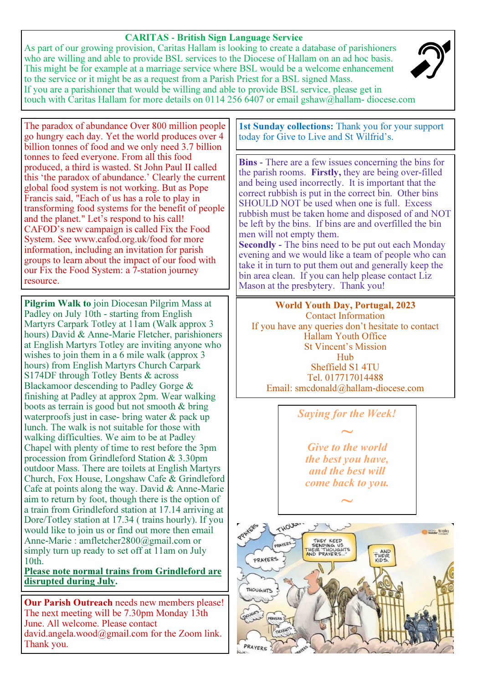#### CARITAS **-** British Sign Language Service

As part of our growing provision, Caritas Hallam is looking to create a database of parishioners who are willing and able to provide BSL services to the Diocese of Hallam on an ad hoc basis. This might be for example at a marriage service where BSL would be a welcome enhancement to the service or it might be as a request from a Parish Priest for a BSL signed Mass. If you are a parishioner that would be willing and able to provide BSL service, please get in touch with Caritas Hallam for more details on 0114 256 6407 or email gshaw@hallam- diocese.com



The paradox of abundance Over 800 million people go hungry each day. Yet the world produces over 4 billion tonnes of food and we only need 3.7 billion tonnes to feed everyone. From all this food produced, a third is wasted. St John Paul II called this 'the paradox of abundance.' Clearly the current global food system is not working. But as Pope Francis said, "Each of us has a role to play in transforming food systems for the benefit of people and the planet." Let's respond to his call! CAFOD's new campaign is called Fix the Food System. See www.cafod.org.uk/food for more information, including an invitation for parish groups to learn about the impact of our food with our Fix the Food System: a 7-station journey resource.

Pilgrim Walk to join Diocesan Pilgrim Mass at Padley on July 10th - starting from English Martyrs Carpark Totley at 11am (Walk approx 3 hours) David & Anne-Marie Fletcher, parishioners at English Martyrs Totley are inviting anyone who wishes to join them in a 6 mile walk (approx 3 hours) from English Martyrs Church Carpark S174DF through Totley Bents & across Blackamoor descending to Padley Gorge & finishing at Padley at approx 2pm. Wear walking boots as terrain is good but not smooth & bring waterproofs just in case- bring water & pack up lunch. The walk is not suitable for those with walking difficulties. We aim to be at Padley Chapel with plenty of time to rest before the 3pm procession from Grindleford Station & 3.30pm outdoor Mass. There are toilets at English Martyrs Church, Fox House, Longshaw Cafe & Grindleford Cafe at points along the way. David & Anne-Marie aim to return by foot, though there is the option of a train from Grindleford station at 17.14 arriving at Dore/Totley station at 17.34 ( trains hourly). If you would like to join us or find out more then email Anne-Marie : amfletcher2800@gmail.com or simply turn up ready to set off at 11am on July 10th.

Please note normal trains from Grindleford are disrupted during July.

Our Parish Outreach needs new members please! The next meeting will be 7.30pm Monday 13th June. All welcome. Please contact david.angela.wood@gmail.com for the Zoom link. Thank you.

1st Sunday collections: Thank you for your support today for Give to Live and St Wilfrid's.

Bins **-** There are a few issues concerning the bins for the parish rooms. Firstly, they are being over-filled and being used incorrectly. It is important that the correct rubbish is put in the correct bin. Other bins SHOULD NOT be used when one is full. Excess rubbish must be taken home and disposed of and NOT be left by the bins. If bins are and overfilled the bin men will not empty them. Secondly **-** The bins need to be put out each Monday evening and we would like a team of people who can

take it in turn to put them out and generally keep the bin area clean. If you can help please contact Liz Mason at the presbytery. Thank you!